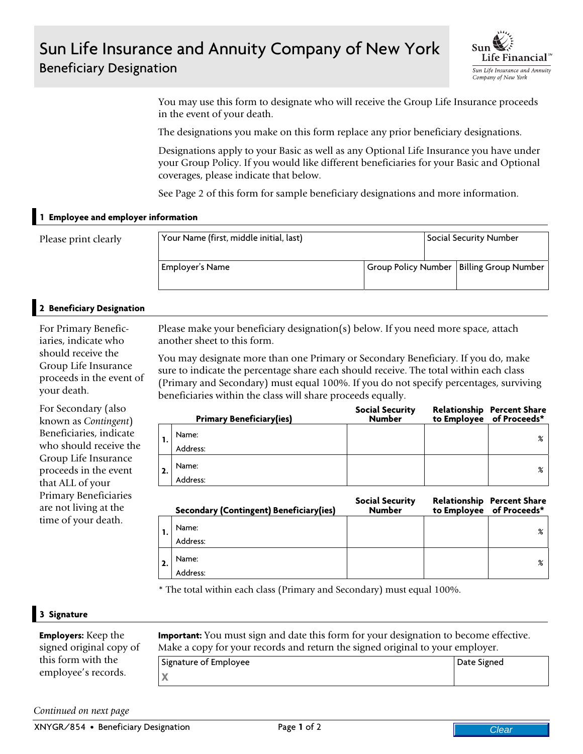## Sun Life Insurance and Annuity Company of New York Beneficiary Designation



You may use this form to designate who will receive the Group Life Insurance proceeds in the event of your death.

The designations you make on this form replace any prior beneficiary designations.

Designations apply to your Basic as well as any Optional Life Insurance you have under your Group Policy. If you would like different beneficiaries for your Basic and Optional coverages, please indicate that below.

See Page 2 of this form for sample beneficiary designations and more information.

## **1 Employee and employer information**

| Please print clearly | Your Name (first, middle initial, last) |  | Social Security Number |                                            |
|----------------------|-----------------------------------------|--|------------------------|--------------------------------------------|
|                      | Employer's Name                         |  |                        | Group Policy Number   Billing Group Number |

## **2 Beneficiary Designation**

For Primary Beneficiaries, indicate who should receive the Group Life Insurance proceeds in the event of your death.

For Secondary (also known as *Contingent*) Beneficiaries, indicate who should receive the Group Life Insurance proceeds in the event that ALL of your Primary Beneficiaries are not living at the time of your death.

Please make your beneficiary designation(s) below. If you need more space, attach another sheet to this form.

You may designate more than one Primary or Secondary Beneficiary. If you do, make sure to indicate the percentage share each should receive. The total within each class (Primary and Secondary) must equal 100%. If you do not specify percentages, surviving beneficiaries within the class will share proceeds equally.

|    | <b>Primary Beneficiary(ies)</b> | <b>Social Security</b><br><b>Number</b> | <b>Relationship Percent Share</b><br>to Employee of Proceeds* |
|----|---------------------------------|-----------------------------------------|---------------------------------------------------------------|
|    | Name:                           |                                         | $\frac{9}{6}$                                                 |
|    | Address:                        |                                         |                                                               |
| 2. | Name:                           |                                         | $\frac{9}{6}$                                                 |
|    | Address:                        |                                         |                                                               |

| Secondary (Contingent) Beneficiary (ies) | <b>Social Security</b><br><b>Number</b> | <b>Relationship Percent Share</b><br>to Employee of Proceeds* |
|------------------------------------------|-----------------------------------------|---------------------------------------------------------------|
| Name:                                    |                                         | $\frac{9}{6}$                                                 |
| Address:                                 |                                         |                                                               |
| Name:                                    |                                         | $\frac{9}{6}$                                                 |
| Address:                                 |                                         |                                                               |

\* The total within each class (Primary and Secondary) must equal 100%.

## **3 Signature**

| <b>Employers:</b> Keep the | <b>Important:</b> You must sign and date this form for your designation to become effective. |             |  |
|----------------------------|----------------------------------------------------------------------------------------------|-------------|--|
| signed original copy of    | Make a copy for your records and return the signed original to your employer.                |             |  |
| this form with the         | Signature of Employee                                                                        | Date Signed |  |
| employee's records.        | Χ                                                                                            |             |  |

*Continued on next page*